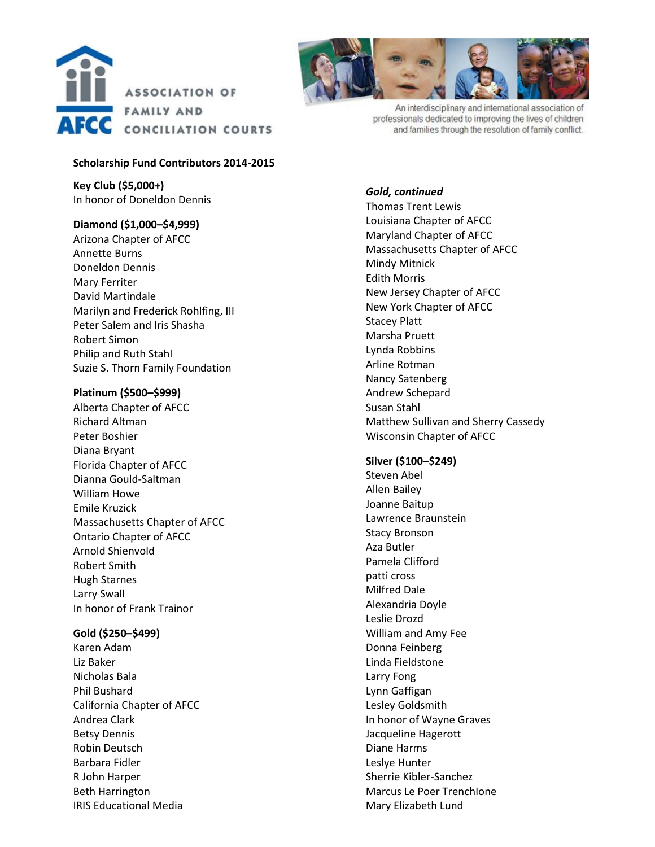



An interdisciplinary and international association of professionals dedicated to improving the lives of children and families through the resolution of family conflict.

### **Scholarship Fund Contributors 2014 -201 5**

**Key Club (\$5,000+)** In honor of Doneldon Dennis

## **Diamond (\$1,000 –\$4,999)**

Arizona Chapter of AFCC Annette Burns Doneldon Dennis Mary Ferriter David Martindale Marilyn and Frederick Rohlfing , III Peter Salem and Iris Shasha Robert Simon Philip and Ruth Stahl Suzie S. Thorn Family Foundation

## **Platinum (\$500 –\$999)**

Alberta Chapter of AFCC Richard Altman Peter Boshier Diana Bryant Florida Chapter of AFCC Dianna Gould -Saltman William Howe Emile Kruzick Massachusetts Chapter of AFCC Ontario Chapter of AFCC Arnold Shienvold Robert Smith Hugh Starnes Larry Swall In honor of Frank Trainor

# **Gold (\$250 –\$499)**

Karen Adam Liz Baker Nicholas Bala Phil Bushard California Chapter of AFCC Andrea Clark Bet s y Dennis Robin Deutsch Barbara Fidler R John Harper Beth Harrington IRIS Educational Media

## *Gold, continued*

Thomas Trent Lewis Louisiana Chapter of AFCC Maryland Chapter of AFCC Massachusetts Chapter of AFCC Mindy Mitnick Edith Morris New Jersey Chapter of AFCC New York Chapter of AFCC Stacey Platt Marsha Pruett Lynda Robbins Arline Rotman Nancy Satenberg Andrew Schepard Susan Stahl Matthew Sullivan and Sherry Cassedy Wisconsin Chapter of AFCC

## **Silver (\$100 –\$249)**

Steven Abel Allen Bailey Joanne Baitup Lawrence Braunstein Stacy Bronson Aza Butler Pamela Clifford patti cross Milfred Dale Alexandria Doyle Leslie Drozd William and Amy Fee Donna Feinberg Linda Fieldstone Larry Fong Lynn Gaffigan Lesley Goldsmith In honor of Wayne Graves Jacqueline Hagerott Diane Harms Leslye Hunter Sherrie Kibler -Sanchez Marcus Le Poer TrenchIone Mary Elizabeth Lund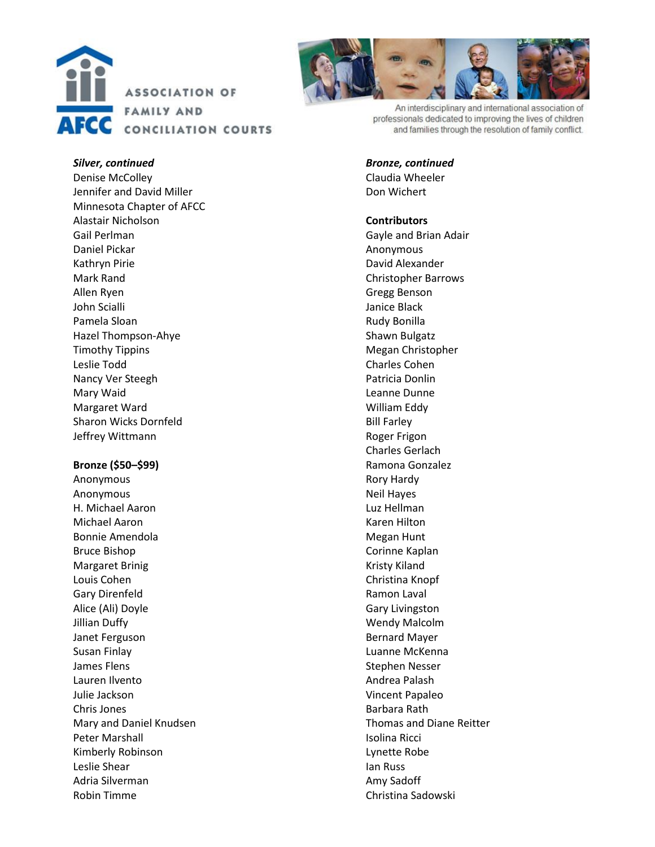



An interdisciplinary and international association of professionals dedicated to improving the lives of children and families through the resolution of family conflict.

#### *Silver, continued*

Denise McColley Jennifer and David Miller Minnesota Chapter of AFCC Alastair Nicholson Gail Perlman Daniel Pickar Kathryn Pirie Mark Rand Allen Ryen John Scialli Pamela Sloan Hazel Thompson -Ahye Timothy Tippin s Leslie Todd Nancy Ver Steegh Mary Waid Margaret Ward Sharon Wicks Dornfeld Jeffrey Wittmann

### **Bronze (\$50 –\$99)**

Anonymous Anonymous H. Michael Aaron Michael Aaron Bonnie Amendola Bruce Bishop Margaret Brinig Louis Cohen Gary Direnfeld Alice (Ali) Doyle Jillian Duffy Janet Ferguson Susan Finlay James Flens Lauren Ilvento Julie Jackson Chris Jones Mary and Daniel Knudsen Peter Marshall Kimberly Robinson Leslie Shear Adria Silverman Robin Timme

#### *Bronze, continued*

Claudia Wheeler Don Wichert

### **Contributor s**

Gayle and Brian Adair Anonymous David Alexander Christopher Barrows Gregg Benson Janice Black Rudy Bonilla Shawn Bulgatz Megan Christopher Charles Cohen Patricia Donlin Leanne Dunne William Eddy Bill Farley Roger Frigon Charles Gerlach Ramona Gonzalez Rory Hardy Neil Hayes Luz Hellman Karen Hilton Megan Hunt Corinne Kaplan Kristy Kiland Christina Knopf Ramon Laval Gary Livingston Wendy Malcolm Bernard Mayer Luanne McKenna Stephen Nesser Andrea Palash Vincent Papaleo Barbara Rath Thomas and Diane Reitter Isolina Ricci Lynette Robe Ian Russ Amy Sadoff Christina Sadowski